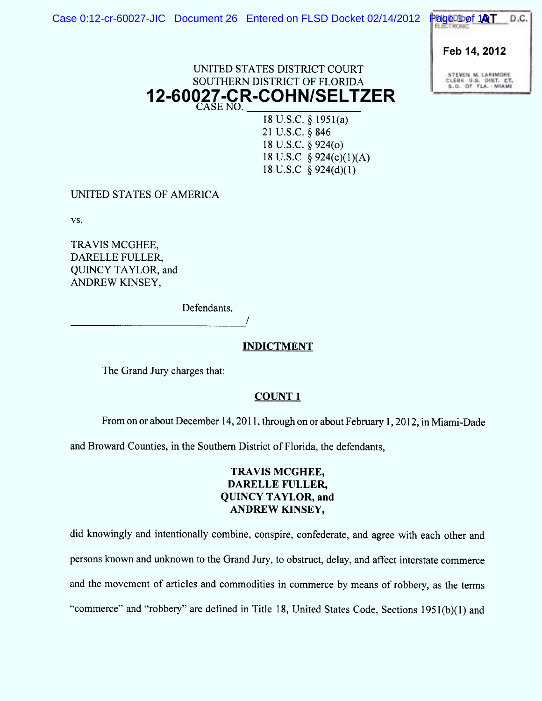

# UNITED STATES DISTRICT COURT SOUTHERN DISTRICT OF FLORIDA SE NO. **12-60027-CR-COHN/SELTZER**

18 U.S.C. § 1951(a) 21 U.S.C. § 846 18 U.S.C. § 924(0) 18 U.S.C  $\S$  924(c)(1)(A) 18 U.S.C  $\S$  924(d)(1)

UNITED STATES OF AMERICA

VS ,

TRAVIS MCGHEE, DARELLE FULLER, QUINCY TAYLOR, and ANDREW KINSEY,

Defendants.

/

# **INDICTMENT**

The Grand Jury charges that:

# COUNT I

From on or about December 14, 2011, through on or about February 1, 2012, in Miami-Dade

and Broward Counties, in the Southern District of Florida, the defendants,

# TRAVIS MCGHEE, DARELLE FULLER. QUINCY TAYLOR, and ANDREW KINSEY,

did knowingly and intentionally combine, conspire, confederate, and agree with each other and persons known and unknown to the Grand Jury, to obstruct, delay, and affect interstate commerce and the movement of articles and commodities in commerce by means of robbery, as the terms "commerce" and "robbery" are defined in Title 18, United States Code, Sections 1951(b)(1) and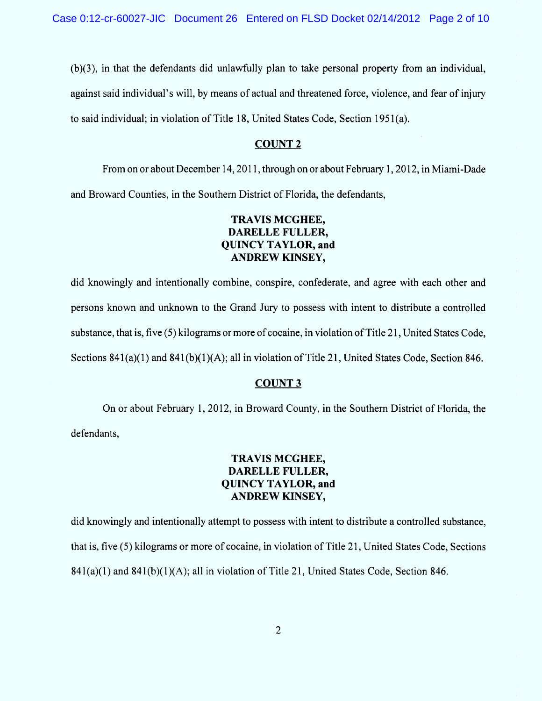(b)(3), in that the defendants did unlawfully plan to take personal property from an individual, against said individual's will, by means of actual and threatened force, violence, and fear of injury to said individual; in violation of Title 18, United States Code, Section 1951(a).

### COUNT<sub>2</sub>

From on or about December 14, 2011, through on or about February 1, 2012, in Miami-Dade and Broward Counties, in the Southern District of Florida, the defendants,

# TRAVIS MCGHEE, DARELLE FULLER, QUINCY TAYLOR, and ANDREW KINSEY,

did knowingly and intentionally combine, conspire, confederate, and agree with each other and persons known and unknown to the Grand Jury to possess with intent to distribute a controlled substance, that is, five (5) kilograms ormore of cocaine, in violation of Title 21, United States Code, Sections 841(a)(1) and 841(b)(1)(A); all in violation of Title 21, United States Code, Section 846.

### COUNT 3

On or about February 1, 2012, in Broward County, in the Southern District of Florida, the defendants,

# TRAVIS MCGHEE, DARELLE FULLER, QUINCY TAYLOR, and ANDREW KINSEY,

did knowingly and intentionally attempt to possess with intent to distribute a controlled substance, that is, five (5) kilograms or more of cocaine, in violation of Title 21, United States Code, Sections  $841(a)(1)$  and  $841(b)(1)(A)$ ; all in violation of Title 21, United States Code, Section 846.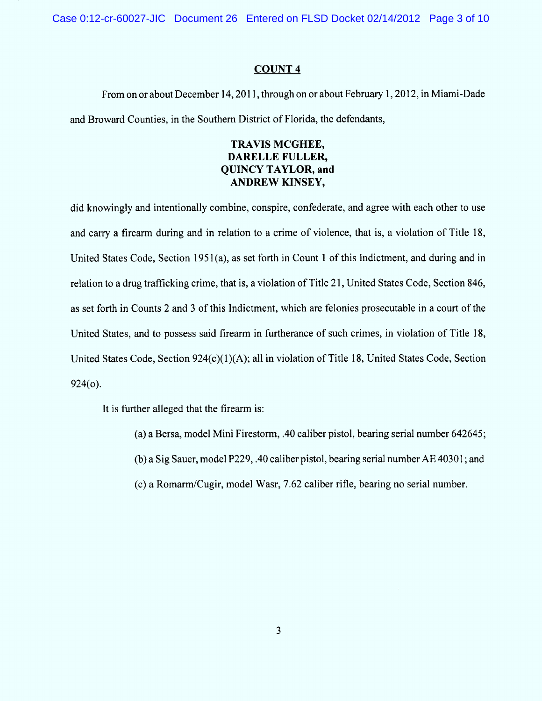Case 0:12-cr-60027-JIC Document 26 Entered on FLSD Docket 02/14/2012 Page 3 of 10

### COUNT 4

From on or about December 14, 2011, through on or about February 1, 2012, in Miami-Dade and Broward Counties, in the Southern District of Florida, the defendants,

## TRAVIS MCGHEE, DARELLE FULLER, QUINCY TAYLOR, and ANDREW KINSEY,

did knowingly and intentionally combine, conspire, confederate, and agree with each other to use and carry a firearm during and in relation to a crime of violence, that is, a violation of Title 18, United States Code, Section 1951 (a), as set forth in Count 1 of this Indictment, and during and in relation to a drug trafficking crime, that is, a violation of Title 21, United States Code, Section 846, as set forth in Counts 2 and 3 of this Indictment, which are felonies prosecutable in a court of the United States, and to possess said firearm in furtherance of such crimes, in violation of Title 18, United States Code, Section  $924(c)(1)(A)$ ; all in violation of Title 18, United States Code, Section 924(0).

It is further alleged that the firearm is:

(a) a Bersa, model Mini Firestorm, .40 caliber pistol, bearing serial number  $642645$ ;

(b) a Sig Sauer, model P229, .40 caliber pistol, bearing serial number  $AE$  40301; and

(c) a Romarm/cugir, model W asr, 7.62 caliber ritle, bearing no serial number.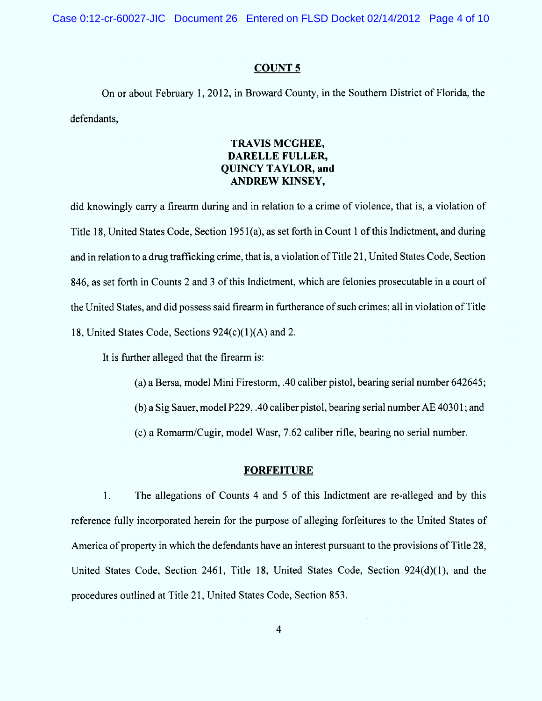Case 0:12-cr-60027-JIC Document 26 Entered on FLSD Docket 02/14/2012 Page 4 of 10

### COUNT S

On or about February 1, 2012, in Broward County, in the Southern District of Florida, the defendants,

## TRAVIS MCGHEE. DARELLE FULLER, QUINCY TAYLOR, and ANDREW KINSEY,

did knowingly carry a firearm during and in relation to a crime of violence, that is, a violation of Title 18, United States Code, Section 1951(a), as set forth in Count 1 of this Indictment, and during and in relation to a drug trafficking crime, that is, a violation of Title 21, United States Code, Section 846, as set forth in Counts 2 and 3 of this Indictment, which are felonies prosecutable in a court of the United States, and did possess said firearm in furtherance of such crimes; all in violation of Title 18, United States Code, Sections 924(c)(1)(A) and 2.

It is further alleged that the firearm is:

(a) a Bersa, model Mini Firestorm, .40 caliber pistol, bearing serial number  $642645$ ;

 $(b)$  a Sig Sauer, model P229, .40 caliber pistol, bearing serial number AE 40301; and

(c) a Romarm/cugir, model W asr, 7.62 caliber ritle, bearing no serial number.

#### **FORFEITURE**

1. The allegations of Counts 4 and 5 of this Indictment are re-alleged and by this reference fully incorporated herein for the purpose of alleging forfeitures to the United States of America of property in which the defendants have an interest pursuant to the provisions of Title 28, United States Code, Section 2461, Title 18, United States Code, Section 924(d)(1), and the procedures outlined at Title 21, United States Code, Section 853.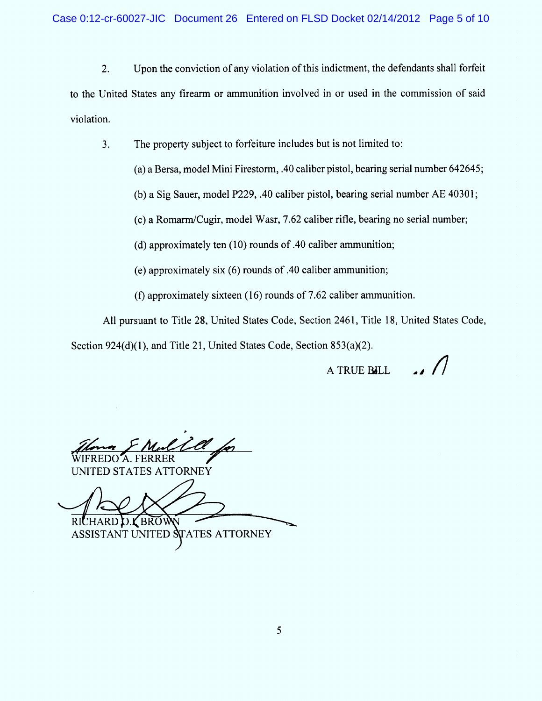$2.$ Upon the conviction of any violation of this indictment, the defendants shall forfeit to the United States any firearm or ammunition involved in or used in the commission of said violation.

3. The property subject to forfeiture includes but is not limited to:

 $(a)$  a Bersa, model Mini Firestorm, .40 caliber pistol, bearing serial number 642645;

(b) a Sig Sauer, model P229, .40 caliber pistol, bearing serial number AE 40301;

(c) a Romann/cugir, model W asr, 7.62 caliber rifle, bearing no serial number;

(d) approximately ten  $(10)$  rounds of .40 caliber ammunition;

(e) approximately six (6) rounds of .40 caliber ammunition;

(f) approximately sixteen  $(16)$  rounds of 7.62 caliber ammunition.

All pursuant to Title 28, United States Code, Section 2461, Title 18, United States Code, Section 924(d)(1), and Title 21, United States Code, Section 853(a)(2).

A TRUE BILL  $\frac{1}{\sqrt{2}}$ 

t <u>Zal</u> r 'A. FERRER

UNITED STATES ATTORNEY

RICHARD **D.Y** BRO

ASSISTANT UNITED STATES ATTORNEY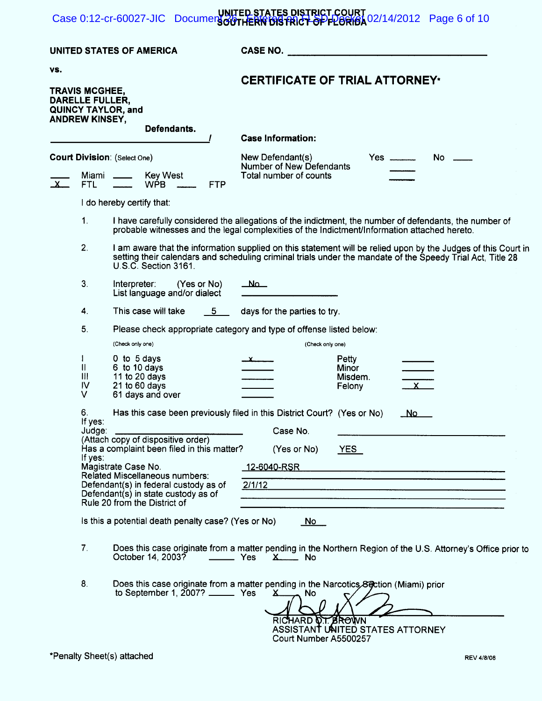#### UNITED STATES DISTRICT COURT Case 0:12-cr-60027-JIC Document  $\frac{\partial \phi}{\partial t}$  FLERIC by FRIGH  $\frac{\partial P}{\partial t}$  Docket 02/14/2012 Page 6 of 10

|                                                                                                               |                                                                                                                                        | UNITED STATES OF AMERICA                                                                                                                                                                               | <b>CASE NO.</b>                                                                                                                                                                                                                                            |  |  |  |
|---------------------------------------------------------------------------------------------------------------|----------------------------------------------------------------------------------------------------------------------------------------|--------------------------------------------------------------------------------------------------------------------------------------------------------------------------------------------------------|------------------------------------------------------------------------------------------------------------------------------------------------------------------------------------------------------------------------------------------------------------|--|--|--|
| VS.<br><b>TRAVIS MCGHEE,</b><br>DARELLE FULLER,<br>QUINCY TAYLOR, and<br><b>ANDREW KINSEY,</b><br>Defendants. |                                                                                                                                        |                                                                                                                                                                                                        | <b>CERTIFICATE OF TRIAL ATTORNEY*</b><br><b>Case Information:</b>                                                                                                                                                                                          |  |  |  |
|                                                                                                               |                                                                                                                                        |                                                                                                                                                                                                        | New Defendant(s)<br>No.<br>Number of New Defendants<br>Total number of counts                                                                                                                                                                              |  |  |  |
| $\mathbf{x}$                                                                                                  | <b>Court Division: (Select One)</b><br><b>Key West</b><br>Miami<br><b>FTL</b><br><b>WPB</b><br><b>FTP</b><br>I do hereby certify that: |                                                                                                                                                                                                        |                                                                                                                                                                                                                                                            |  |  |  |
|                                                                                                               |                                                                                                                                        |                                                                                                                                                                                                        |                                                                                                                                                                                                                                                            |  |  |  |
|                                                                                                               | 1.                                                                                                                                     | I have carefully considered the allegations of the indictment, the number of defendants, the number of<br>probable witnesses and the legal complexities of the Indictment/Information attached hereto. |                                                                                                                                                                                                                                                            |  |  |  |
|                                                                                                               | 2.                                                                                                                                     | U.S.C. Section 3161.                                                                                                                                                                                   | I am aware that the information supplied on this statement will be relied upon by the Judges of this Court in<br>setting their calendars and scheduling criminal trials under the mandate of the Speedy Trial Act, Title 28                                |  |  |  |
|                                                                                                               | 3.                                                                                                                                     | Interpreter:<br>(Yes or No)<br>List language and/or dialect                                                                                                                                            |                                                                                                                                                                                                                                                            |  |  |  |
|                                                                                                               | 4.                                                                                                                                     | This case will take<br>5.                                                                                                                                                                              | days for the parties to try.                                                                                                                                                                                                                               |  |  |  |
|                                                                                                               | 5.                                                                                                                                     | (Check only one)                                                                                                                                                                                       | Please check appropriate category and type of offense listed below:<br>(Check only one)                                                                                                                                                                    |  |  |  |
|                                                                                                               | I<br>11<br>Ш<br>IV<br>V                                                                                                                | 0 to 5 days<br>6 to 10 days<br>11 to 20 days<br>21 to 60 days<br>61 days and over                                                                                                                      | Petty<br>$\frac{\chi}{\chi}$<br>Minor<br>Misdem.<br>$\frac{1}{\mathbf{X}}$<br>Felony                                                                                                                                                                       |  |  |  |
|                                                                                                               | 6.<br>If yes:<br>Judge:                                                                                                                |                                                                                                                                                                                                        | Has this case been previously filed in this District Court? (Yes or No)<br>_No<br>Case No.                                                                                                                                                                 |  |  |  |
|                                                                                                               |                                                                                                                                        | (Attach copy of dispositive order)<br>Has a complaint been filed in this matter?                                                                                                                       | (Yes or No)<br>YES                                                                                                                                                                                                                                         |  |  |  |
|                                                                                                               | If yes:                                                                                                                                | Magistrate Case No.                                                                                                                                                                                    | <u>12-6040-RSR</u>                                                                                                                                                                                                                                         |  |  |  |
|                                                                                                               |                                                                                                                                        | Related Miscellaneous numbers:<br>Defendant(s) in federal custody as of<br>Defendant(s) in state custody as of<br>Rule 20 from the District of                                                         | 2/1/12<br><u> 1989 - Andrea Andrea Andrea Andrea Andrea Andrea Andrea Andrea Andrea Andrea Andrea Andrea Andrea Andrea Andr</u><br><u> 1980 - An Aonaichte ann an Cathair an Chomhair ann an Chomhair ann an Chomhair ann an Chomhair ann an Chomhair </u> |  |  |  |
|                                                                                                               | Is this a potential death penalty case? (Yes or No)<br><u>No</u>                                                                       |                                                                                                                                                                                                        |                                                                                                                                                                                                                                                            |  |  |  |
|                                                                                                               | 7.                                                                                                                                     | October 14, 2003?                                                                                                                                                                                      | Does this case originate from a matter pending in the Northern Region of the U.S. Attorney's Office prior to<br>$X$ No                                                                                                                                     |  |  |  |
|                                                                                                               | 8.                                                                                                                                     | to September 1, $2007$ ? __________ Yes                                                                                                                                                                | Does this case originate from a matter pending in the Narcotics Soction (Miami) prior<br>、No<br>$x$ and $x$<br>RICHARD O.T. BROWN<br>ASSISTANT UNITED STATES ATTORNEY<br>Court Number A5500257                                                             |  |  |  |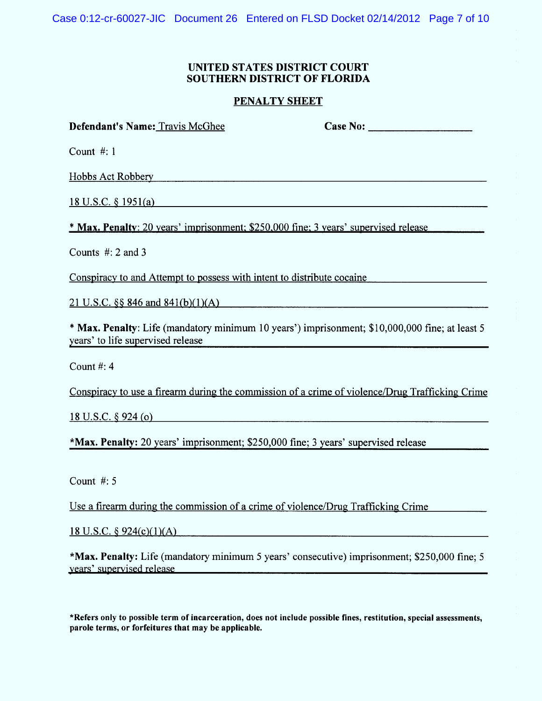Case 0:12-cr-60027-JIC Document 26 Entered on FLSD Docket 02/14/2012 Page 7 of 10

## UNITED STATES DISTRICT COURT SOUTHERN DISTRICT OF FLORIDA

## PENALTY SHEET

| Defendant's Name: Travis McGhee                                                                                                     | Case No: $\qquad \qquad$ |
|-------------------------------------------------------------------------------------------------------------------------------------|--------------------------|
| Count $\#: 1$                                                                                                                       |                          |
| Hobbs Act Robbery                                                                                                                   |                          |
| $18$ U.S.C. § 1951(a)                                                                                                               |                          |
| <b>* Max, Penalty</b> : 20 years' imprisonment; \$250,000 fine; 3 years' supervised release                                         |                          |
| Counts $#: 2$ and 3                                                                                                                 |                          |
| Conspiracy to and Attempt to possess with intent to distribute cocaine                                                              |                          |
| 21 U.S.C. $\S$ 846 and 841(b)(1)(A)                                                                                                 |                          |
| * Max. Penalty: Life (mandatory minimum 10 years') imprisonment; \$10,000,000 fine; at least 5<br>years' to life supervised release |                          |
|                                                                                                                                     |                          |

Count #: 4

Conspiracy to use a firearm during the commission of a crime of violence/Drug Trafficking Crime

18 U.S.C. 6 924 (o)

\*Max. Penalty: 20 years' imprisonment; \$250,000 fine; 3 years' supervised release

Count #: 5

Use a firearm during the commission of a crime of violence/Drug Trafficking Crime

18 U.S.C.  $\S$  924(c)(1)(A)

\*M ax. Penalty: Life (mandatory minimum 5 years' consecutive) imprisonment; \$250,000 fine; 5 years' supervised release

WRefers only to possible term of incarceration, does not include possible fines, restitution, special assessments, parole terms. or forfeitures that may be applicable.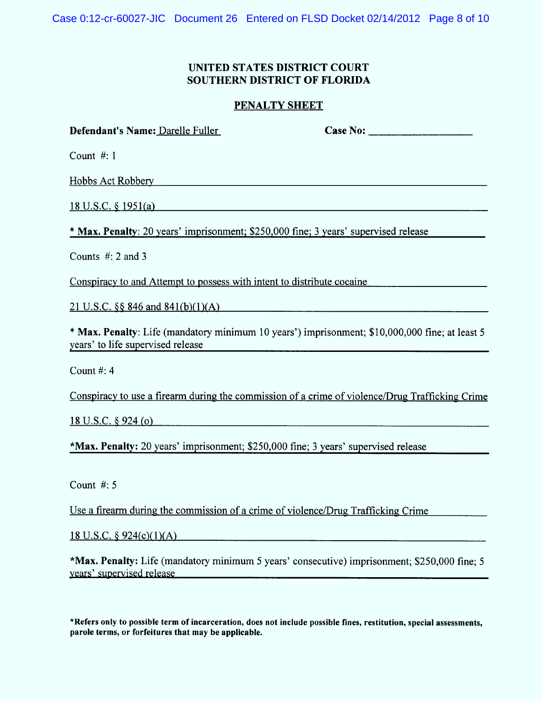Case 0:12-cr-60027-JIC Document 26 Entered on FLSD Docket 02/14/2012 Page 8 of 10

# UNITED STATES DISTRICT COURT SOUTHERN DISTRICT OF FLORIDA

### PENALTY SHEET

| Defendant's Name: Darelle Fuller                                                                                                    | Case No: |
|-------------------------------------------------------------------------------------------------------------------------------------|----------|
| Count $#: 1$                                                                                                                        |          |
| <b>Hobbs Act Robbery</b>                                                                                                            |          |
| <u>18 U.S.C. § 1951(a)</u>                                                                                                          |          |
| * Max. Penalty: 20 years' imprisonment; \$250,000 fine; 3 years' supervised release                                                 |          |
| Counts $#: 2$ and 3                                                                                                                 |          |
| Conspiracy to and Attempt to possess with intent to distribute cocaine                                                              |          |
| 21 U.S.C. $\S$ 846 and 841(b)(1)(A)                                                                                                 |          |
| * Max. Penalty: Life (mandatory minimum 10 years') imprisonment; \$10,000,000 fine; at least 5<br>years' to life supervised release |          |
| Count #: $4$                                                                                                                        |          |
| Conspiracy to use a firearm during the commission of a crime of violence/Drug Trafficking Crime                                     |          |

 $18$  U.S.C. § 924 (o)

\*Max. Penalty: 20 years' imprisonment; \$250,000 fine; 3 years' supervised release

Count #: 5

Use a firearm during the commission of a crime of violence/Drug Trafficking Crime

<u>18 U.S.C. § 924(c)(1)(A)</u>

\*Max. Penalty: Life (mandatory minimum 5 years' consecutive) imprisonment; \$250,000 fine; 5 years' supervised release

\*Refers only to possible term of incarceration, does not inelude possible fines, restitution, special assessments, parole terms, or forfeitures that may be applicable.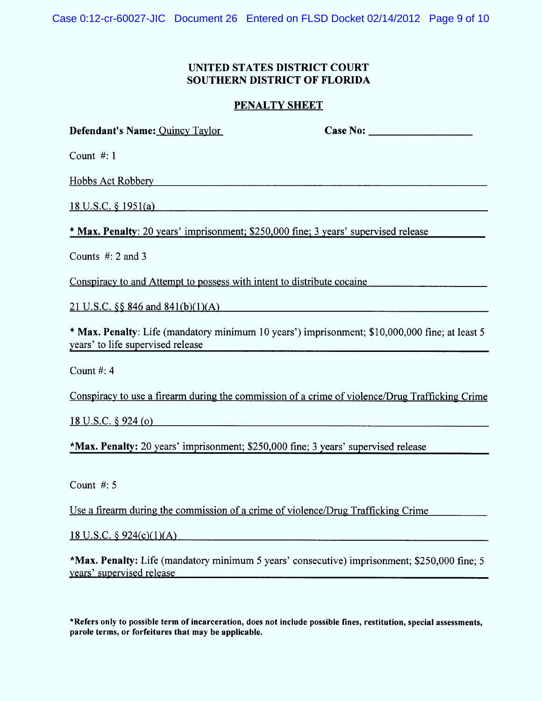Case 0:12-cr-60027-JIC Document 26 Entered on FLSD Docket 02/14/2012 Page 9 of 10

# UNITED STATES DISTRICT COURT SOUTHERN DISTRICT OF FLORIDA

### PENALTY SHEET

| Defendant's Name: Quincy Taylor                                                                                                     | Case No: The Case No. |
|-------------------------------------------------------------------------------------------------------------------------------------|-----------------------|
| Count $#: 1$                                                                                                                        |                       |
| <b>Hobbs Act Robbery</b>                                                                                                            |                       |
| <u>18 U.S.C. § 1951(a)</u>                                                                                                          |                       |
| <b>* Max. Penalty</b> : 20 years' imprisonment; \$250,000 fine; 3 years' supervised release                                         |                       |
| Counts $\#$ : 2 and 3                                                                                                               |                       |
| Conspiracy to and Attempt to possess with intent to distribute cocaine                                                              |                       |
| 21 U.S.C. $\S$ 846 and 841(b)(1)(A)                                                                                                 |                       |
| * Max. Penalty: Life (mandatory minimum 10 years') imprisonment; \$10,000,000 fine; at least 5<br>years' to life supervised release |                       |
| Count $#: 4$                                                                                                                        |                       |

Conspiracy to use a firearm during the commission of a crime of violence/Drug Trafficking Crime

18 U.S.C.  $\S$  924 (o)

\*M ax. Penalty: 20 years' im prisonment; \$250,000 fine; 3 years' supervised release

Count #: 5

Use a firearm during the commission of a crime of violence/Drug Trafficking Crime

 $18$  U.S.C.  $\frac{6}{924(c)(1)(A)}$ 

\*M ax. Penalty: Life (mandatory minimum 5 years' consecutive) imprisonment; \$250,000 fine; 5 vears' supervised release

\*Refers only to possible term of ineareeration, does not include possible fines, restitution, special assessments, parole terms, or forfeitures that may be applicable.